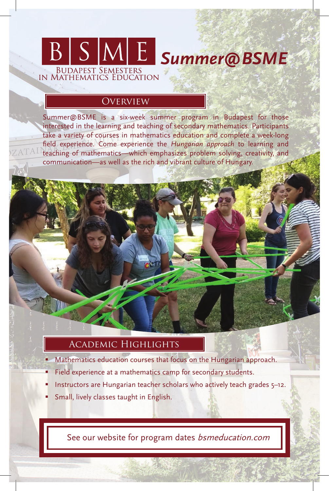# *Summer@BSME* BUDAPEST SEMESTERS<br>IN MATHEMATICS EDUCATION

### **OVERVIEW**

Summer@BSME is a six-week summer program in Budapest for those interested in the learning and teaching of secondary mathematics. Participants take a variety of courses in mathematics education and complete a week-long field experience. Come experience the *Hungarian approach* to learning and teaching of mathematics—which emphasizes problem solving, creativity, and communication—as well as the rich and vibrant culture of Hungary.

### Academic Highlights

- Mathematics education courses that focus on the Hungarian approach.
- Field experience at a mathematics camp for secondary students.
- Instructors are Hungarian teacher scholars who actively teach grades 5–12.
- Small, lively classes taught in English.

See our website for program dates *bsmeducation.com*